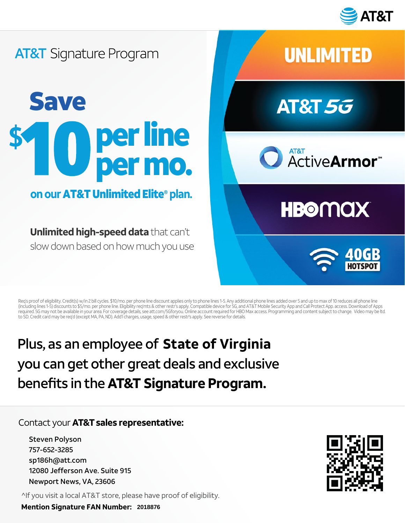

### **AT&T** Signature Program

## Save per line  $\blacksquare$ per mo.

#### **on our** AT&T Unlimited Elite® **plan.**

**Unlimited high-speed data** that can't slow down based on how much you use



Req's proof of eligibility. Credit(s) w/in 2 bill cycles. \$10/mo. per phone line discount applies only to phone lines 1-5. Any additional phone lines added over 5 and up to max of 10 reduces all phone line (including lines 1-5) discounts to \$5/mo. per phone line. Eligibility req'mts & other restr's apply. Compatible device for 5G, and AT&T Mobile Security App and Call Protect App. access. Download of Apps<br>required. 5G may no to SD. Credit card may be req'd (except MA, PA, ND). Add'l charges, usage, speed & other restr's apply. See reverse for details.

# Plus, as an employee of State of Virginia you can get other great deals and exclusive benefits in the **AT&T Signature Program. 2018, as an employee of State of Virginia**<br>**2018 Can get other great deals and exclusive**<br>Prefits in the AT&T Signature Program.<br>
Intact your AT&T sales representative:<br>
Steven Polyson<br>
757-652-3285<br>
5p186h@att.com<br>
72080

#### Contact your **AT&T sales representative:**

^If you visit a local AT&T store, please have proof of eligibility.

**Mention Signature FAN Number:**